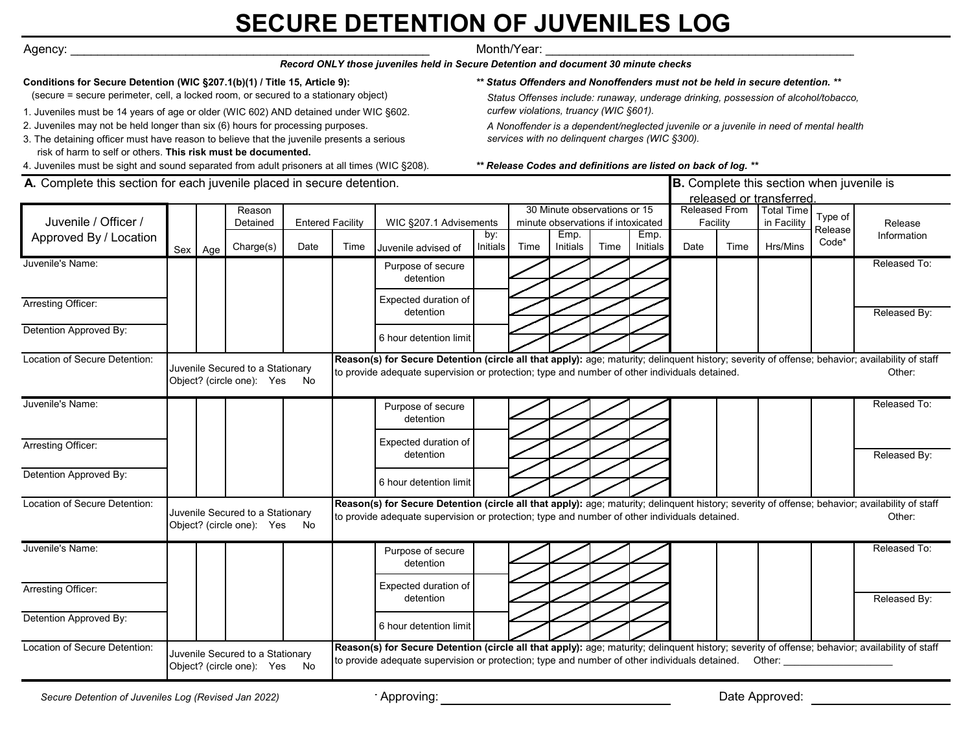# **SECURE DETENTION OF JUVENILES LOG**

Agency: \_\_\_\_\_\_\_\_\_\_\_\_\_\_\_\_\_\_\_\_\_\_\_\_\_\_\_\_\_\_\_\_\_\_\_\_\_\_\_\_\_\_\_\_\_\_\_\_\_\_\_\_\_ Month/Year: \_\_\_\_\_\_\_\_\_\_\_\_\_\_\_\_\_\_\_\_\_\_\_\_\_\_\_\_\_\_\_\_\_\_\_\_\_\_\_\_\_\_\_\_\_\_

*Record ONLY those juveniles held in Secure Detention and document 30 minute checks*

### **Conditions for Secure Detention (WIC §207.1(b)(1) / Title 15, Article 9):**

(secure = secure perimeter, cell, a locked room, or secured to a stationary object)

- 1. Juveniles must be 14 years of age or older (WIC 602) AND detained under WIC §602.
- 2. Juveniles may not be held longer than six (6) hours for processing purposes.

3. The detaining officer must have reason to believe that the juvenile presents a serious risk of harm to self or others. **This risk must be documented.**

4. Juveniles must be sight and sound separated from adult prisoners at all times (WIC §208).

*\*\* Status Offenders and Nonoffenders must not be held in secure detention. \*\**

 *Status Offenses include: runaway, underage drinking, possession of alcohol/tobacco, curfew violations, truancy (WIC §601).*

 *A Nonoffender is a dependent/neglected juvenile or a juvenile in need of mental health services with no delinquent charges (WIC §300).*

#### *\*\* Release Codes and definitions are listed on back of log. \*\**

| <b>A.</b> Complete this section for each juvenile placed in secure detention. |                                                                  |         |                    |                                                                                                                                                                                                                                                          |                                                                                                                                                                                                                                                  |                                                                                                                                                                                                                                                  |                 |                                                                    | <b>B.</b> Complete this section when juvenile is<br>released or transferred. |      |                           |      |                                  |                    |         |              |
|-------------------------------------------------------------------------------|------------------------------------------------------------------|---------|--------------------|----------------------------------------------------------------------------------------------------------------------------------------------------------------------------------------------------------------------------------------------------------|--------------------------------------------------------------------------------------------------------------------------------------------------------------------------------------------------------------------------------------------------|--------------------------------------------------------------------------------------------------------------------------------------------------------------------------------------------------------------------------------------------------|-----------------|--------------------------------------------------------------------|------------------------------------------------------------------------------|------|---------------------------|------|----------------------------------|--------------------|---------|--------------|
| Juvenile / Officer /                                                          |                                                                  |         | Reason<br>Detained | <b>Entered Facility</b>                                                                                                                                                                                                                                  |                                                                                                                                                                                                                                                  | WIC §207.1 Advisements                                                                                                                                                                                                                           |                 | 30 Minute observations or 15<br>minute observations if intoxicated |                                                                              |      | Released From<br>Facility |      | <b>Total Time</b><br>in Facility | Type of<br>Release | Release |              |
| Approved By / Location                                                        |                                                                  | Sex Age | Charge(s)          | Date                                                                                                                                                                                                                                                     | Time                                                                                                                                                                                                                                             | Juvenile advised of                                                                                                                                                                                                                              | by:<br>Initials | Time                                                               | Emp.<br>Initials                                                             | Time | Emp.<br>Initials          | Date | Time                             | Hrs/Mins           | Code*   | Information  |
| Juvenile's Name:                                                              |                                                                  |         |                    |                                                                                                                                                                                                                                                          |                                                                                                                                                                                                                                                  | Purpose of secure<br>detention                                                                                                                                                                                                                   |                 |                                                                    |                                                                              |      |                           |      |                                  |                    |         | Released To: |
| Arresting Officer:                                                            |                                                                  |         |                    |                                                                                                                                                                                                                                                          |                                                                                                                                                                                                                                                  | Expected duration of<br>detention                                                                                                                                                                                                                |                 |                                                                    |                                                                              |      |                           |      |                                  |                    |         | Released By: |
| Detention Approved By:                                                        |                                                                  |         |                    |                                                                                                                                                                                                                                                          |                                                                                                                                                                                                                                                  | 6 hour detention limit                                                                                                                                                                                                                           |                 |                                                                    |                                                                              |      |                           |      |                                  |                    |         |              |
| Location of Secure Detention:                                                 | Juvenile Secured to a Stationary<br>Object? (circle one): Yes No |         |                    |                                                                                                                                                                                                                                                          | Reason(s) for Secure Detention (circle all that apply): age; maturity; delinquent history; severity of offense; behavior; availability of staff<br>to provide adequate supervision or protection; type and number of other individuals detained. |                                                                                                                                                                                                                                                  |                 |                                                                    |                                                                              |      |                           |      |                                  |                    |         | Other:       |
| Juvenile's Name:                                                              |                                                                  |         |                    |                                                                                                                                                                                                                                                          |                                                                                                                                                                                                                                                  | Purpose of secure<br>detention                                                                                                                                                                                                                   |                 |                                                                    |                                                                              |      |                           |      |                                  |                    |         | Released To: |
| Arresting Officer:                                                            |                                                                  |         |                    |                                                                                                                                                                                                                                                          |                                                                                                                                                                                                                                                  | Expected duration of<br>detention                                                                                                                                                                                                                |                 |                                                                    |                                                                              |      |                           |      |                                  |                    |         | Released By: |
| Detention Approved By:                                                        |                                                                  |         |                    |                                                                                                                                                                                                                                                          |                                                                                                                                                                                                                                                  | 6 hour detention limit                                                                                                                                                                                                                           |                 |                                                                    |                                                                              |      |                           |      |                                  |                    |         |              |
| Location of Secure Detention:                                                 | Juvenile Secured to a Stationary<br>Object? (circle one): Yes No |         |                    |                                                                                                                                                                                                                                                          |                                                                                                                                                                                                                                                  | Reason(s) for Secure Detention (circle all that apply): age; maturity; delinquent history; severity of offense; behavior; availability of staff<br>to provide adequate supervision or protection; type and number of other individuals detained. |                 |                                                                    |                                                                              |      |                           |      |                                  |                    |         | Other:       |
| Juvenile's Name:                                                              |                                                                  |         |                    |                                                                                                                                                                                                                                                          |                                                                                                                                                                                                                                                  | Purpose of secure<br>detention                                                                                                                                                                                                                   |                 |                                                                    |                                                                              |      |                           |      |                                  |                    |         | Released To: |
| Arresting Officer:                                                            |                                                                  |         |                    |                                                                                                                                                                                                                                                          |                                                                                                                                                                                                                                                  | Expected duration of<br>detention                                                                                                                                                                                                                |                 |                                                                    |                                                                              |      |                           |      |                                  |                    |         | Released By: |
| Detention Approved By:                                                        |                                                                  |         |                    |                                                                                                                                                                                                                                                          |                                                                                                                                                                                                                                                  | 6 hour detention limit                                                                                                                                                                                                                           |                 |                                                                    |                                                                              |      |                           |      |                                  |                    |         |              |
| Location of Secure Detention:                                                 | Juvenile Secured to a Stationary<br>Object? (circle one): Yes No |         |                    | Reason(s) for Secure Detention (circle all that apply): age; maturity; delinquent history; severity of offense; behavior; availability of staff<br>to provide adequate supervision or protection; type and number of other individuals detained.  Other: |                                                                                                                                                                                                                                                  |                                                                                                                                                                                                                                                  |                 |                                                                    |                                                                              |      |                           |      |                                  |                    |         |              |